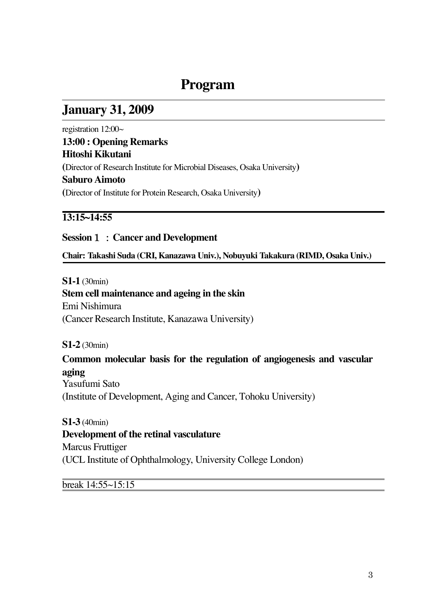# **Program**

## **January 31, 2009**

registration 12:00~ **13:00 : Opening Remarks Hitoshi Kikutani (**Director of Research Institute for Microbial Diseases, Osaka University**) Saburo Aimoto (**Director of Institute for Protein Research, Osaka University**)**

#### **13:15~14:55**

#### **Session**!"**Cancer and Development**

**Chair: Takashi Suda (CRI, Kanazawa Univ.), Nobuyuki Takakura (RIMD, Osaka Univ.)**

**S1-1** (30min)

#### **Stem cell maintenance and ageing in the skin**

Emi Nishimura (Cancer Research Institute, Kanazawa University)

**S1-2** (30min)

# **Common molecular basis for the regulation of angiogenesis and vascular**

**aging** Yasufumi Sato (Institute of Development, Aging and Cancer, Tohoku University)

**S1-3** (40min) **Development of the retinal vasculature** Marcus Fruttiger (UCL Institute of Ophthalmology, University College London)

break 14:55~15:15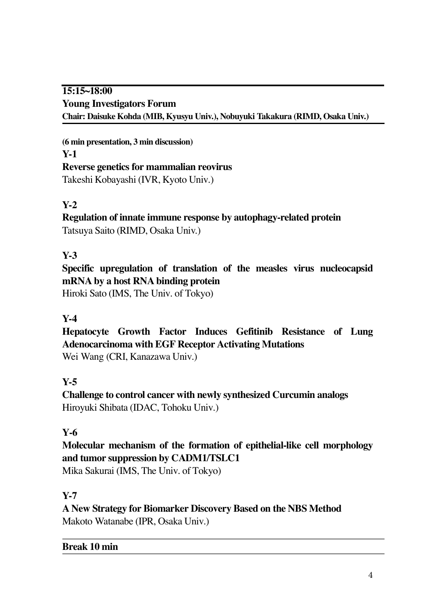#### **15:15~18:00 Young Investigators Forum Chair: Daisuke Kohda (MIB, Kyusyu Univ.), Nobuyuki Takakura (RIMD, Osaka Univ.)**

**(6 min presentation, 3 min discussion) Y-1 Reverse genetics for mammalian reovirus** Takeshi Kobayashi (IVR, Kyoto Univ.)

## **Y-2**

**Regulation of innate immune response by autophagy-related protein** Tatsuya Saito (RIMD, Osaka Univ.)

#### **Y-3**

**Specific upregulation of translation of the measles virus nucleocapsid mRNA by a host RNA binding protein** Hiroki Sato (IMS, The Univ. of Tokyo)

#### **Y-4**

**Hepatocyte Growth Factor Induces Gefitinib Resistance of Lung**! **Adenocarcinoma with EGF Receptor Activating Mutations** Wei Wang (CRI, Kanazawa Univ.)

#### **Y-5**

**Challenge to control cancer with newly synthesized Curcumin analogs** Hiroyuki Shibata (IDAC, Tohoku Univ.)

#### **Y-6**

**Molecular mechanism of the formation of epithelial-like cell morphology and tumor suppression by CADM1/TSLC1**

Mika Sakurai (IMS, The Univ. of Tokyo)

#### **Y-7**

**A New Strategy for Biomarker Discovery Based on the NBS Method** Makoto Watanabe (IPR, Osaka Univ.)

#### **Break 10 min**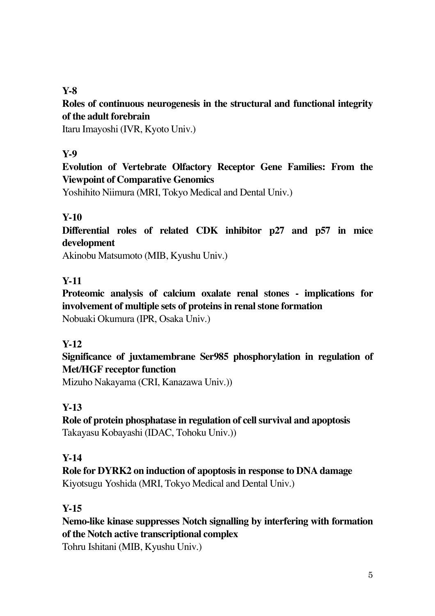#### **Y-8**

#### **Roles of continuous neurogenesis in the structural and functional integrity of the adult forebrain**

Itaru Imayoshi (IVR, Kyoto Univ.)

#### **Y-9**

## **Evolution of Vertebrate Olfactory Receptor Gene Families: From the Viewpoint of Comparative Genomics**

Yoshihito Niimura (MRI, Tokyo Medical and Dental Univ.)

## **Y-10**

**Differential roles of related CDK inhibitor p27 and p57 in mice development**

Akinobu Matsumoto (MIB, Kyushu Univ.)

#### **Y-11**

**Proteomic analysis of calcium oxalate renal stones - implications for involvement of multiple sets of proteins in renalstone formation** Nobuaki Okumura (IPR, Osaka Univ.)

#### **Y-12**

## **Significance of juxtamembrane Ser985 phosphorylation in regulation of Met/HGF receptor function**

Mizuho Nakayama (CRI, Kanazawa Univ.))

## **Y-13**

**Role of protein phosphatase in regulation of cellsurvival and apoptosis** Takayasu Kobayashi (IDAC, Tohoku Univ.))

#### **Y-14**

**Role for DYRK2 on induction of apoptosis in response to DNA damage** Kiyotsugu Yoshida (MRI, Tokyo Medical and Dental Univ.)

#### **Y-15**

**Nemo-like kinase suppresses Notch signalling by interfering with formation of the Notch active transcriptional complex**

Tohru Ishitani (MIB, Kyushu Univ.)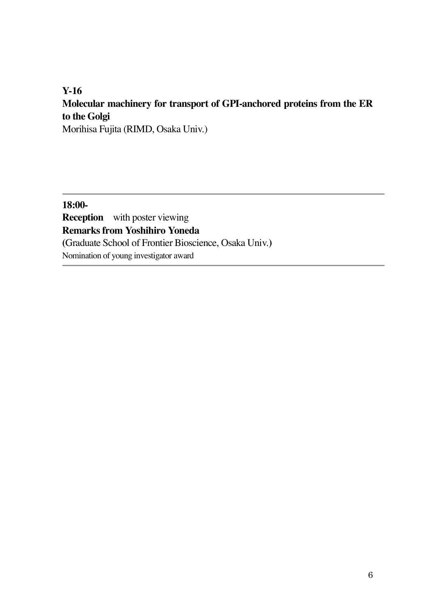# **Y-16 Molecular machinery for transport of GPI-anchored proteins from the ER to the Golgi**

Morihisa Fujita (RIMD, Osaka Univ.)

**18:00- Reception** with poster viewing **Remarks from Yoshihiro Yoneda (**Graduate School of Frontier Bioscience, Osaka Univ.**)** Nomination of young investigator award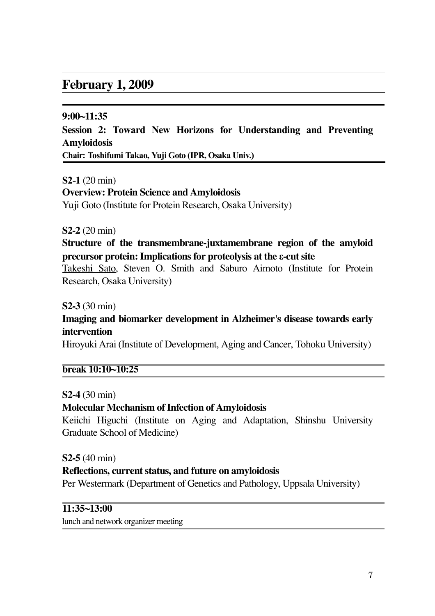## **February 1, 2009**

#### **9:00~11:35**

**Session 2: Toward New Horizons for Understanding and Preventing Amyloidosis**

**Chair: Toshifumi Takao, Yuji Goto (IPR, Osaka Univ.)**!

**S2-1** (20 min) **Overview: Protein Science and Amyloidosis**

Yuji Goto (Institute for Protein Research, Osaka University)

**S2-2** (20 min)

**Structure of the transmembrane-juxtamembrane region of the amyloid precursor protein:Implications for proteolysis at the !-cutsite**

Takeshi Sato, Steven O. Smith and Saburo Aimoto (Institute for Protein Research, Osaka University)

**S2-3** (30 min)

**Imaging and biomarker development in Alzheimer's disease towards early intervention**

Hiroyuki Arai (Institute of Development, Aging and Cancer, Tohoku University)

**break 10:10~10:25**

**S2-4** (30 min)

**Molecular Mechanism of Infection of Amyloidosis** 

Keiichi Higuchi (Institute on Aging and Adaptation, Shinshu University Graduate School of Medicine)

**S2-5** (40 min)

#### **Reflections, currentstatus, and future on amyloidosis**

Per Westermark (Department of Genetics and Pathology, Uppsala University)

#### **11:35~13:00**

lunch and network organizer meeting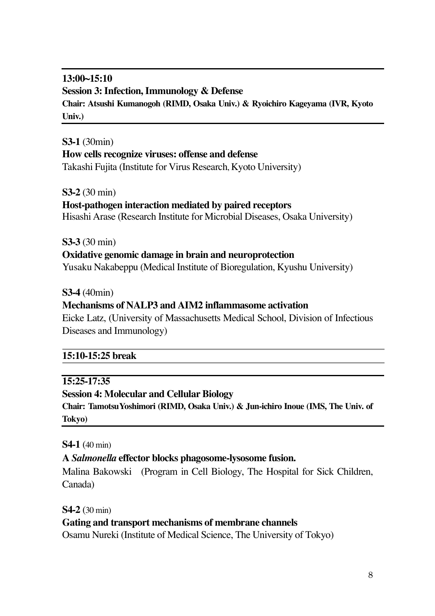#### **13:00~15:10 Session 3:Infection, Immunology & Defense Chair: Atsushi Kumanogoh (RIMD, Osaka Univ.) & Ryoichiro Kageyama (IVR, Kyoto Univ.)**

#### **S3-1** (30min) **How cells recognize viruses: offense and defense** Takashi Fujita (Institute for Virus Research, Kyoto University)

**S3-2** (30 min)

## **Host-pathogen interaction mediated by paired receptors**

Hisashi Arase (Research Institute for Microbial Diseases, Osaka University)

**S3-3** (30 min)

#### **Oxidative genomic damage in brain and neuroprotection**

Yusaku Nakabeppu (Medical Institute of Bioregulation, Kyushu University)

**S3-4** (40min)

#### **Mechanisms of NALP3 and AIM2 inflammasome activation**

Eicke Latz, (University of Massachusetts Medical School, Division of Infectious Diseases and Immunology)

#### **15:10-15:25 break**

#### **15:25-17:35**

#### **Session 4: Molecular and Cellular Biology**

**Chair: TamotsuYoshimori (RIMD, Osaka Univ.) & Jun-ichiro Inoue (IMS, The Univ. of Tokyo)**

**S4-1** (40 min)

#### **A** *Salmonella* **effector blocks phagosome-lysosome fusion.**

Malina Bakowski (Program in Cell Biology, The Hospital for Sick Children, Canada)

**S4-2** (30 min)

#### **Gating and transport mechanisms of membrane channels**

Osamu Nureki (Institute of Medical Science, The University of Tokyo)